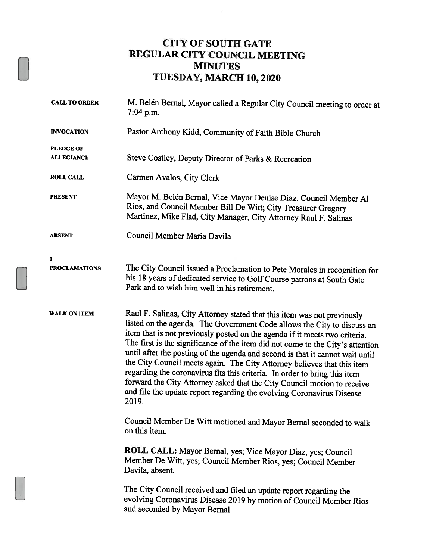## CITY OF SOUTH GATE REGULAR CITY COUNCIL MEETING MINUTES TUESDAY, MARCH 10, 2020

| <b>CALL TO ORDER</b>      | M. Belén Bernal, Mayor called a Regular City Council meeting to order at<br>$7:04$ p.m.                                                                                                                                                                                                                                                                                                                                                                                                                                                                                                                                                                                                                                  |  |
|---------------------------|--------------------------------------------------------------------------------------------------------------------------------------------------------------------------------------------------------------------------------------------------------------------------------------------------------------------------------------------------------------------------------------------------------------------------------------------------------------------------------------------------------------------------------------------------------------------------------------------------------------------------------------------------------------------------------------------------------------------------|--|
| <b>INVOCATION</b>         | Pastor Anthony Kidd, Community of Faith Bible Church                                                                                                                                                                                                                                                                                                                                                                                                                                                                                                                                                                                                                                                                     |  |
| <b>PLEDGE OF</b>          |                                                                                                                                                                                                                                                                                                                                                                                                                                                                                                                                                                                                                                                                                                                          |  |
| <b>ALLEGIANCE</b>         | Steve Costley, Deputy Director of Parks & Recreation                                                                                                                                                                                                                                                                                                                                                                                                                                                                                                                                                                                                                                                                     |  |
| <b>ROLL CALL</b>          | Carmen Avalos, City Clerk                                                                                                                                                                                                                                                                                                                                                                                                                                                                                                                                                                                                                                                                                                |  |
| <b>PRESENT</b>            | Mayor M. Belén Bernal, Vice Mayor Denise Diaz, Council Member Al<br>Rios, and Council Member Bill De Witt; City Treasurer Gregory<br>Martinez, Mike Flad, City Manager, City Attorney Raul F. Salinas                                                                                                                                                                                                                                                                                                                                                                                                                                                                                                                    |  |
| <b>ABSENT</b>             | Council Member Maria Davila                                                                                                                                                                                                                                                                                                                                                                                                                                                                                                                                                                                                                                                                                              |  |
|                           |                                                                                                                                                                                                                                                                                                                                                                                                                                                                                                                                                                                                                                                                                                                          |  |
| 1<br><b>PROCLAMATIONS</b> | The City Council issued a Proclamation to Pete Morales in recognition for<br>his 18 years of dedicated service to Golf Course patrons at South Gate<br>Park and to wish him well in his retirement.                                                                                                                                                                                                                                                                                                                                                                                                                                                                                                                      |  |
| <b>WALK ON ITEM</b>       | Raul F. Salinas, City Attorney stated that this item was not previously<br>listed on the agenda. The Government Code allows the City to discuss an<br>item that is not previously posted on the agenda if it meets two criteria.<br>The first is the significance of the item did not come to the City's attention<br>until after the posting of the agenda and second is that it cannot wait until<br>the City Council meets again. The City Attorney believes that this item<br>regarding the coronavirus fits this criteria. In order to bring this item<br>forward the City Attorney asked that the City Council motion to receive<br>and file the update report regarding the evolving Coronavirus Disease<br>2019. |  |
|                           | Council Member De Witt motioned and Mayor Bernal seconded to walk<br>on this item.                                                                                                                                                                                                                                                                                                                                                                                                                                                                                                                                                                                                                                       |  |
|                           | ROLL CALL: Mayor Bernal, yes; Vice Mayor Diaz, yes; Council<br>Member De Witt, yes; Council Member Rios, yes; Council Member<br>Davila, absent.                                                                                                                                                                                                                                                                                                                                                                                                                                                                                                                                                                          |  |
|                           | The City Council received and filed an update report regarding the<br>evolving Coronavirus Disease 2019 by motion of Council Member Rios<br>and seconded by Mayor Bernal.                                                                                                                                                                                                                                                                                                                                                                                                                                                                                                                                                |  |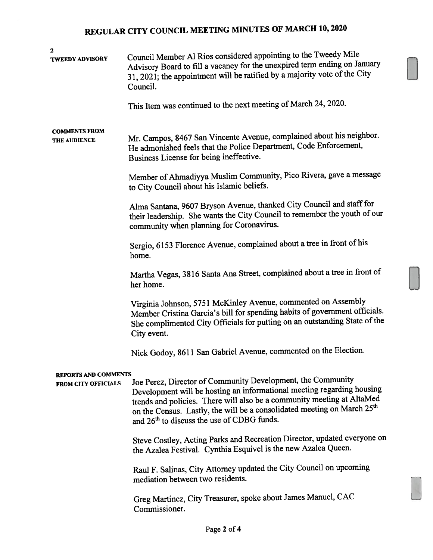## REGULAR CITY COUNCIL MEETING MINUTES OF MARCH 10, <sup>2020</sup>

| 2<br><b>TWEEDY ADVISORY</b>                               | Council Member Al Rios considered appointing to the Tweedy Mile<br>Advisory Board to fill a vacancy for the unexpired term ending on January<br>31, 2021; the appointment will be ratified by a majority vote of the City<br>Council.<br>This Item was continued to the next meeting of March 24, 2020.                                                          |
|-----------------------------------------------------------|------------------------------------------------------------------------------------------------------------------------------------------------------------------------------------------------------------------------------------------------------------------------------------------------------------------------------------------------------------------|
| <b>COMMENTS FROM</b><br>THE AUDIENCE                      | Mr. Campos, 8467 San Vincente Avenue, complained about his neighbor.<br>He admonished feels that the Police Department, Code Enforcement,<br>Business License for being ineffective.                                                                                                                                                                             |
|                                                           | Member of Ahmadiyya Muslim Community, Pico Rivera, gave a message<br>to City Council about his Islamic beliefs.                                                                                                                                                                                                                                                  |
|                                                           | Alma Santana, 9607 Bryson Avenue, thanked City Council and staff for<br>their leadership. She wants the City Council to remember the youth of our<br>community when planning for Coronavirus.                                                                                                                                                                    |
|                                                           | Sergio, 6153 Florence Avenue, complained about a tree in front of his<br>home.                                                                                                                                                                                                                                                                                   |
|                                                           | Martha Vegas, 3816 Santa Ana Street, complained about a tree in front of<br>her home.                                                                                                                                                                                                                                                                            |
|                                                           | Virginia Johnson, 5751 McKinley Avenue, commented on Assembly<br>Member Cristina Garcia's bill for spending habits of government officials.<br>She complimented City Officials for putting on an outstanding State of the<br>City event.                                                                                                                         |
|                                                           | Nick Godoy, 8611 San Gabriel Avenue, commented on the Election.                                                                                                                                                                                                                                                                                                  |
| <b>REPORTS AND COMMENTS</b><br><b>FROM CITY OFFICIALS</b> | Joe Perez, Director of Community Development, the Community<br>Development will be hosting an informational meeting regarding housing<br>trends and policies. There will also be a community meeting at AltaMed<br>on the Census. Lastly, the will be a consolidated meeting on March 25 <sup>th</sup><br>and 26 <sup>th</sup> to discuss the use of CDBG funds. |
|                                                           | Steve Costley, Acting Parks and Recreation Director, updated everyone on<br>the Azalea Festival. Cynthia Esquivel is the new Azalea Queen.                                                                                                                                                                                                                       |
|                                                           | Raul F. Salinas, City Attorney updated the City Council on upcoming<br>mediation between two residents.                                                                                                                                                                                                                                                          |
|                                                           | Greg Martinez, City Treasurer, spoke about James Manuel, CAC<br>Commissioner.                                                                                                                                                                                                                                                                                    |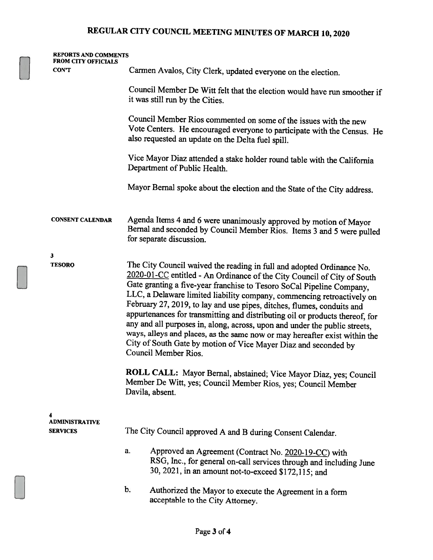## REGULAR CITY COUNCIL MEETING MINUTES OF MARCH 10, <sup>2020</sup>

| <b>REPORTS AND COMMENTS</b><br><b>FROM CITY OFFICIALS</b> |                                                                                                                                                                                                                                                                                                                                                                                                                                                                                                                                                                                                                                                                                                                      |  |  |
|-----------------------------------------------------------|----------------------------------------------------------------------------------------------------------------------------------------------------------------------------------------------------------------------------------------------------------------------------------------------------------------------------------------------------------------------------------------------------------------------------------------------------------------------------------------------------------------------------------------------------------------------------------------------------------------------------------------------------------------------------------------------------------------------|--|--|
| <b>CON'T</b>                                              | Carmen Avalos, City Clerk, updated everyone on the election.                                                                                                                                                                                                                                                                                                                                                                                                                                                                                                                                                                                                                                                         |  |  |
|                                                           | Council Member De Witt felt that the election would have run smoother if<br>it was still run by the Cities.                                                                                                                                                                                                                                                                                                                                                                                                                                                                                                                                                                                                          |  |  |
|                                                           | Council Member Rios commented on some of the issues with the new<br>Vote Centers. He encouraged everyone to participate with the Census. He<br>also requested an update on the Delta fuel spill.                                                                                                                                                                                                                                                                                                                                                                                                                                                                                                                     |  |  |
|                                                           | Vice Mayor Diaz attended a stake holder round table with the California<br>Department of Public Health.                                                                                                                                                                                                                                                                                                                                                                                                                                                                                                                                                                                                              |  |  |
|                                                           | Mayor Bernal spoke about the election and the State of the City address.                                                                                                                                                                                                                                                                                                                                                                                                                                                                                                                                                                                                                                             |  |  |
| <b>CONSENT CALENDAR</b>                                   | Agenda Items 4 and 6 were unanimously approved by motion of Mayor<br>Bernal and seconded by Council Member Rios. Items 3 and 5 were pulled<br>for separate discussion.                                                                                                                                                                                                                                                                                                                                                                                                                                                                                                                                               |  |  |
| 3                                                         |                                                                                                                                                                                                                                                                                                                                                                                                                                                                                                                                                                                                                                                                                                                      |  |  |
| <b>TESORO</b>                                             | The City Council waived the reading in full and adopted Ordinance No.<br>2020-01-CC entitled - An Ordinance of the City Council of City of South<br>Gate granting a five-year franchise to Tesoro SoCal Pipeline Company,<br>LLC, a Delaware limited liability company, commencing retroactively on<br>February 27, 2019, to lay and use pipes, ditches, flumes, conduits and<br>appurtenances for transmitting and distributing oil or products thereof, for<br>any and all purposes in, along, across, upon and under the public streets,<br>ways, alleys and places, as the same now or may hereafter exist within the<br>City of South Gate by motion of Vice Mayer Diaz and seconded by<br>Council Member Rios. |  |  |
|                                                           | ROLL CALL: Mayor Bernal, abstained; Vice Mayor Diaz, yes; Council<br>Member De Witt, yes; Council Member Rios, yes; Council Member<br>Davila, absent.                                                                                                                                                                                                                                                                                                                                                                                                                                                                                                                                                                |  |  |
| 4                                                         |                                                                                                                                                                                                                                                                                                                                                                                                                                                                                                                                                                                                                                                                                                                      |  |  |
| <b>ADMINISTRATIVE</b><br><b>SERVICES</b>                  | The City Council approved A and B during Consent Calendar.                                                                                                                                                                                                                                                                                                                                                                                                                                                                                                                                                                                                                                                           |  |  |
|                                                           | a.<br>Approved an Agreement (Contract No. 2020-19-CC) with<br>RSG, Inc., for general on-call services through and including June<br>30, 2021, in an amount not-to-exceed \$172,115; and                                                                                                                                                                                                                                                                                                                                                                                                                                                                                                                              |  |  |
|                                                           | b.<br>Authorized the Mayor to execute the Agreement in a form<br>acceptable to the City Attorney.                                                                                                                                                                                                                                                                                                                                                                                                                                                                                                                                                                                                                    |  |  |
|                                                           |                                                                                                                                                                                                                                                                                                                                                                                                                                                                                                                                                                                                                                                                                                                      |  |  |